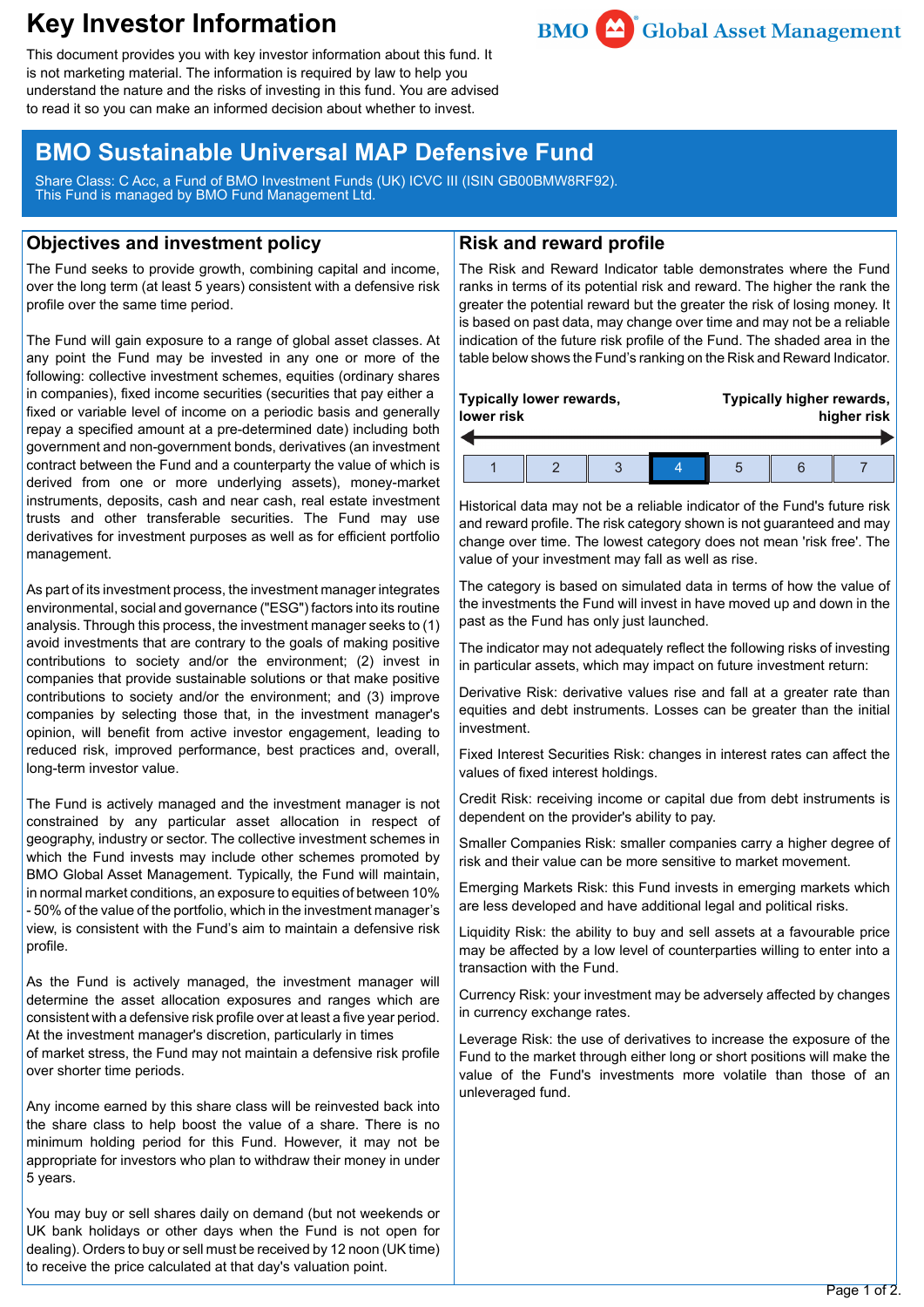# **Key Investor Information**



This document provides you with key investor information about this fund. It is not marketing material. The information is required by law to help you understand the nature and the risks of investing in this fund. You are advised to read it so you can make an informed decision about whether to invest.

## **BMO Sustainable Universal MAP Defensive Fund**

Share Class: C Acc, a Fund of BMO Investment Funds (UK) ICVC III (ISIN GB00BMW8RF92). This Fund is managed by BMO Fund Management Ltd.

### **Objectives and investment policy**

The Fund seeks to provide growth, combining capital and income, over the long term (at least 5 years) consistent with a defensive risk profile over the same time period.

The Fund will gain exposure to a range of global asset classes. At any point the Fund may be invested in any one or more of the following: collective investment schemes, equities (ordinary shares in companies), fixed income securities (securities that pay either a fixed or variable level of income on a periodic basis and generally repay a specified amount at a pre-determined date) including both government and non-government bonds, derivatives (an investment contract between the Fund and a counterparty the value of which is derived from one or more underlying assets), money-market instruments, deposits, cash and near cash, real estate investment trusts and other transferable securities. The Fund may use derivatives for investment purposes as well as for efficient portfolio management.

As part of its investment process, the investment manager integrates environmental, social and governance ("ESG") factors into its routine analysis. Through this process, the investment manager seeks to (1) avoid investments that are contrary to the goals of making positive contributions to society and/or the environment; (2) invest in companies that provide sustainable solutions or that make positive contributions to society and/or the environment; and (3) improve companies by selecting those that, in the investment manager's opinion, will benefit from active investor engagement, leading to reduced risk, improved performance, best practices and, overall, long-term investor value.

The Fund is actively managed and the investment manager is not constrained by any particular asset allocation in respect of geography, industry or sector. The collective investment schemes in which the Fund invests may include other schemes promoted by BMO Global Asset Management. Typically, the Fund will maintain, in normal market conditions, an exposure to equities of between 10% - 50% of the value of the portfolio, which in the investment manager's view, is consistent with the Fund's aim to maintain a defensive risk profile.

As the Fund is actively managed, the investment manager will determine the asset allocation exposures and ranges which are consistent with a defensive risk profile over at least a five year period. At the investment manager's discretion, particularly in times of market stress, the Fund may not maintain a defensive risk profile over shorter time periods.

Any income earned by this share class will be reinvested back into the share class to help boost the value of a share. There is no minimum holding period for this Fund. However, it may not be appropriate for investors who plan to withdraw their money in under 5 years.

You may buy or sell shares daily on demand (but not weekends or UK bank holidays or other days when the Fund is not open for dealing). Orders to buy or sell must be received by 12 noon (UK time) to receive the price calculated at that day's valuation point.

### **Risk and reward profile**

The Risk and Reward Indicator table demonstrates where the Fund ranks in terms of its potential risk and reward. The higher the rank the greater the potential reward but the greater the risk of losing money. It is based on past data, may change over time and may not be a reliable indication of the future risk profile of the Fund. The shaded area in the table below shows the Fund's ranking on the Risk and Reward Indicator.

| lower risk | Typically lower rewards, |  | Typically higher rewards,<br>higher risk |  |  |
|------------|--------------------------|--|------------------------------------------|--|--|
|            |                          |  |                                          |  |  |

Historical data may not be a reliable indicator of the Fund's future risk and reward profile. The risk category shown is not guaranteed and may change over time. The lowest category does not mean 'risk free'. The value of your investment may fall as well as rise.

The category is based on simulated data in terms of how the value of the investments the Fund will invest in have moved up and down in the past as the Fund has only just launched.

The indicator may not adequately reflect the following risks of investing in particular assets, which may impact on future investment return:

Derivative Risk: derivative values rise and fall at a greater rate than equities and debt instruments. Losses can be greater than the initial investment.

Fixed Interest Securities Risk: changes in interest rates can affect the values of fixed interest holdings.

Credit Risk: receiving income or capital due from debt instruments is dependent on the provider's ability to pay.

Smaller Companies Risk: smaller companies carry a higher degree of risk and their value can be more sensitive to market movement.

Emerging Markets Risk: this Fund invests in emerging markets which are less developed and have additional legal and political risks.

Liquidity Risk: the ability to buy and sell assets at a favourable price may be affected by a low level of counterparties willing to enter into a transaction with the Fund.

Currency Risk: your investment may be adversely affected by changes in currency exchange rates.

Leverage Risk: the use of derivatives to increase the exposure of the Fund to the market through either long or short positions will make the value of the Fund's investments more volatile than those of an unleveraged fund.